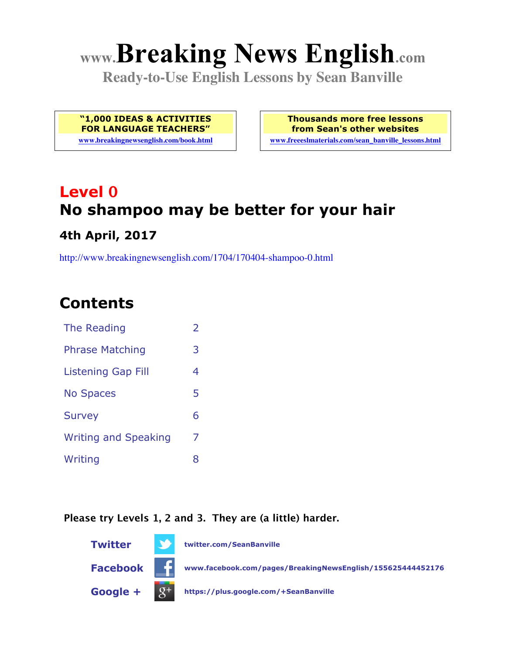# **www.Breaking News English.com**

**Ready-to-Use English Lessons by Sean Banville**

**"1,000 IDEAS & ACTIVITIES FOR LANGUAGE TEACHERS"**

**www.breakingnewsenglish.com/book.html**

**Thousands more free lessons from Sean's other websites www.freeeslmaterials.com/sean\_banville\_lessons.html**

# **Level 0 No shampoo may be better for your hair 4th April, 2017**

http://www.breakingnewsenglish.com/1704/170404-shampoo-0.html

# **Contents**

| The Reading                 | $\overline{2}$ |
|-----------------------------|----------------|
| <b>Phrase Matching</b>      | 3              |
| <b>Listening Gap Fill</b>   | 4              |
| <b>No Spaces</b>            | 5              |
| <b>Survey</b>               | 6              |
| <b>Writing and Speaking</b> | 7              |
| Writing                     | 8              |
|                             |                |

#### **Please try Levels 1, 2 and 3. They are (a little) harder.**

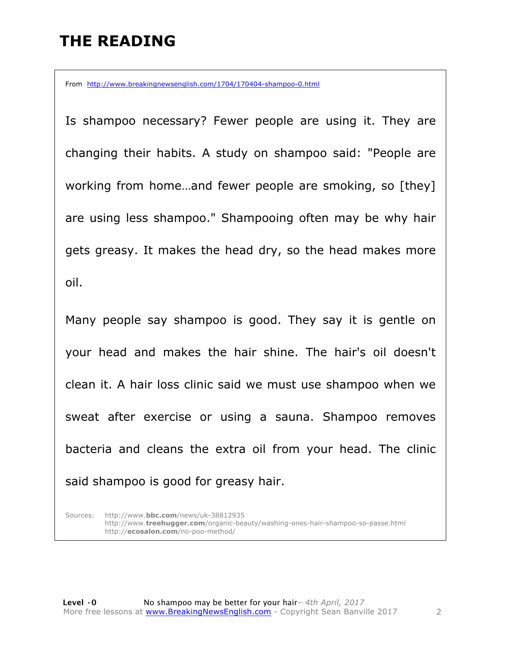# **THE READING**

From http://www.breakingnewsenglish.com/1704/170404-shampoo-0.html

Is shampoo necessary? Fewer people are using it. They are changing their habits. A study on shampoo said: "People are working from home…and fewer people are smoking, so [they] are using less shampoo." Shampooing often may be why hair gets greasy. It makes the head dry, so the head makes more oil.

Many people say shampoo is good. They say it is gentle on your head and makes the hair shine. The hair's oil doesn't clean it. A hair loss clinic said we must use shampoo when we sweat after exercise or using a sauna. Shampoo removes bacteria and cleans the extra oil from your head. The clinic said shampoo is good for greasy hair.

Sources: http://www.**bbc.com**/news/uk-38812935 http://www.**treehugger.com**/organic-beauty/washing-ones-hair-shampoo-so-passe.html http://**ecosalon.com**/no-poo-method/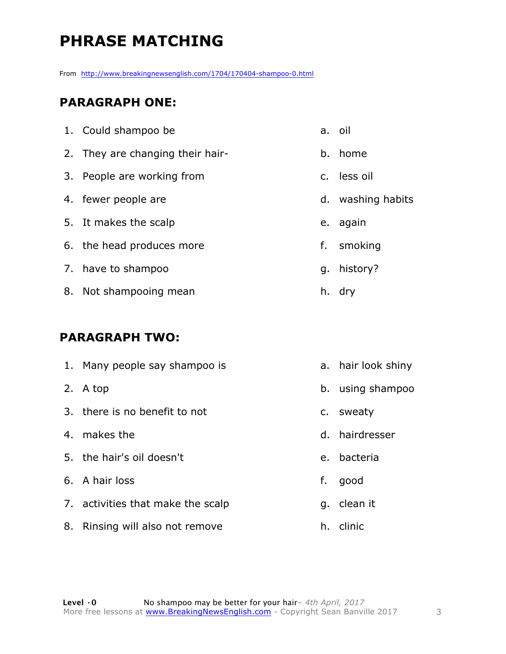# **PHRASE MATCHING**

From http://www.breakingnewsenglish.com/1704/170404-shampoo-0.html

#### **PARAGRAPH ONE:**

| 1. Could shampoo be              | a. oil            |
|----------------------------------|-------------------|
| 2. They are changing their hair- | b. home           |
| 3. People are working from       | c. less oil       |
| 4. fewer people are              | d. washing habits |
| 5. It makes the scalp            | e. again          |
| 6. the head produces more        | f. smoking        |
| 7. have to shampoo               | g. history?       |
| 8. Not shampooing mean           | h. dry            |

#### **PARAGRAPH TWO:**

|    | 1. Many people say shampoo is     |             | a. hair look shiny |
|----|-----------------------------------|-------------|--------------------|
|    | 2. A top                          |             | b. using shampoo   |
|    | 3. there is no benefit to not     |             | c. sweaty          |
| 4. | makes the                         |             | d. hairdresser     |
|    | 5. the hair's oil doesn't         | $e_{\cdot}$ | bacteria           |
|    | 6. A hair loss                    | f.          | good               |
|    | 7. activities that make the scalp | q.          | clean it           |
|    | 8. Rinsing will also not remove   |             | h. clinic          |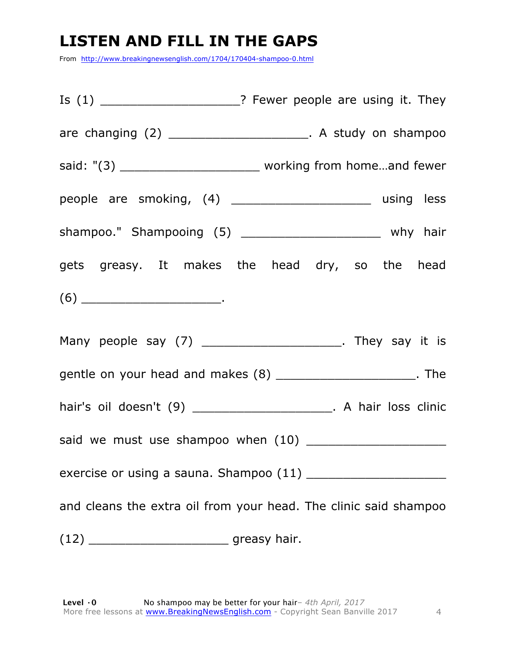# **LISTEN AND FILL IN THE GAPS**

From http://www.breakingnewsenglish.com/1704/170404-shampoo-0.html

|                                                                                                                                                                                                                                                                                                                                                                                                                                                                               | Is (1) ________________________? Fewer people are using it. They         |
|-------------------------------------------------------------------------------------------------------------------------------------------------------------------------------------------------------------------------------------------------------------------------------------------------------------------------------------------------------------------------------------------------------------------------------------------------------------------------------|--------------------------------------------------------------------------|
|                                                                                                                                                                                                                                                                                                                                                                                                                                                                               | are changing $(2)$ ________________________. A study on shampoo          |
|                                                                                                                                                                                                                                                                                                                                                                                                                                                                               | said: "(3) __________________________________ working from homeand fewer |
|                                                                                                                                                                                                                                                                                                                                                                                                                                                                               | people are smoking, (4) _________________________ using less             |
|                                                                                                                                                                                                                                                                                                                                                                                                                                                                               | shampoo." Shampooing (5) ________________________ why hair               |
|                                                                                                                                                                                                                                                                                                                                                                                                                                                                               | gets greasy. It makes the head dry, so the head                          |
| $(6) \begin{tabular}{l} \hline \rule[1ex]{1ex}{1ex} \multicolumn{3}{c}{} & \multicolumn{3}{c}{} \multicolumn{3}{c}{} \multicolumn{3}{c}{} \multicolumn{3}{c}{} \multicolumn{3}{c}{} \multicolumn{3}{c}{} \multicolumn{3}{c}{} \multicolumn{3}{c}{} \multicolumn{3}{c}{} \multicolumn{3}{c}{} \multicolumn{3}{c}{} \multicolumn{3}{c}{} \multicolumn{3}{c}{} \multicolumn{3}{c}{} \multicolumn{3}{c}{} \multicolumn{3}{c}{} \multicolumn{3}{c}{} \multicolumn{3}{c}{} \multic$ |                                                                          |
|                                                                                                                                                                                                                                                                                                                                                                                                                                                                               | Many people say (7) ________________________. They say it is             |
|                                                                                                                                                                                                                                                                                                                                                                                                                                                                               | gentle on your head and makes (8) ________________________. The          |
|                                                                                                                                                                                                                                                                                                                                                                                                                                                                               | hair's oil doesn't (9) ______________________. A hair loss clinic        |
|                                                                                                                                                                                                                                                                                                                                                                                                                                                                               |                                                                          |
|                                                                                                                                                                                                                                                                                                                                                                                                                                                                               |                                                                          |
|                                                                                                                                                                                                                                                                                                                                                                                                                                                                               | and cleans the extra oil from your head. The clinic said shampoo         |
|                                                                                                                                                                                                                                                                                                                                                                                                                                                                               |                                                                          |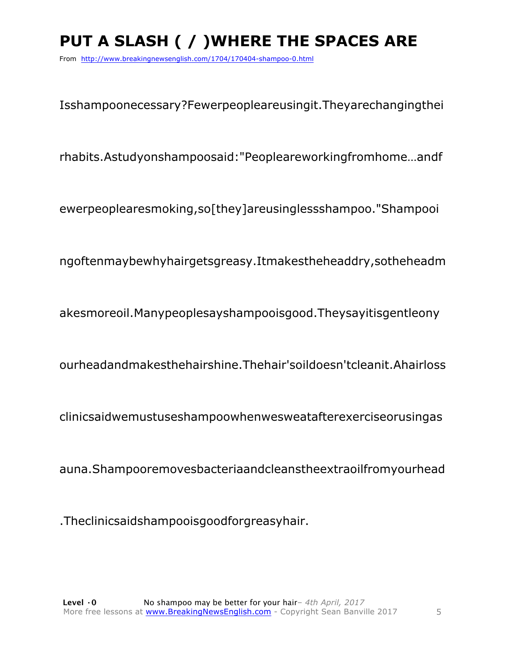# **PUT A SLASH ( / )WHERE THE SPACES ARE**

From http://www.breakingnewsenglish.com/1704/170404-shampoo-0.html

Isshampoonecessary?Fewerpeopleareusingit.Theyarechangingthei

rhabits.Astudyonshampoosaid:"Peopleareworkingfromhome…andf

ewerpeoplearesmoking,so[they]areusinglessshampoo."Shampooi

ngoftenmaybewhyhairgetsgreasy.Itmakestheheaddry,sotheheadm

akesmoreoil.Manypeoplesayshampooisgood.Theysayitisgentleony

ourheadandmakesthehairshine.Thehair'soildoesn'tcleanit.Ahairloss

clinicsaidwemustuseshampoowhenwesweatafterexerciseorusingas

auna.Shampooremovesbacteriaandcleanstheextraoilfromyourhead

.Theclinicsaidshampooisgoodforgreasyhair.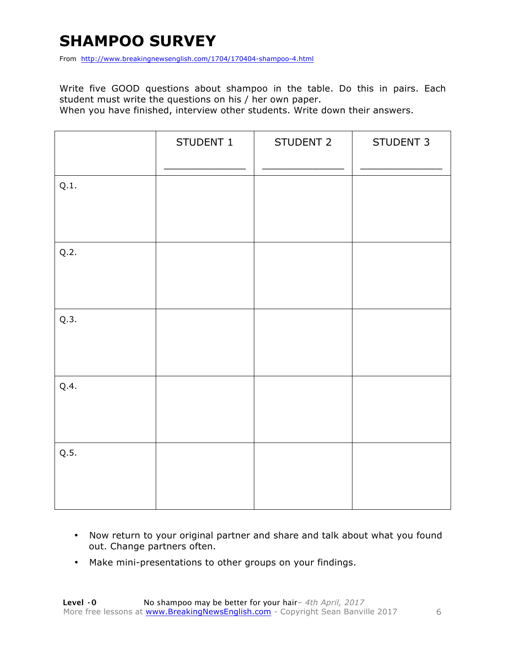# **SHAMPOO SURVEY**

From http://www.breakingnewsenglish.com/1704/170404-shampoo-4.html

Write five GOOD questions about shampoo in the table. Do this in pairs. Each student must write the questions on his / her own paper.

When you have finished, interview other students. Write down their answers.

|      | STUDENT 1 | STUDENT 2 | STUDENT 3 |
|------|-----------|-----------|-----------|
| Q.1. |           |           |           |
| Q.2. |           |           |           |
| Q.3. |           |           |           |
| Q.4. |           |           |           |
| Q.5. |           |           |           |

- Now return to your original partner and share and talk about what you found out. Change partners often.
- Make mini-presentations to other groups on your findings.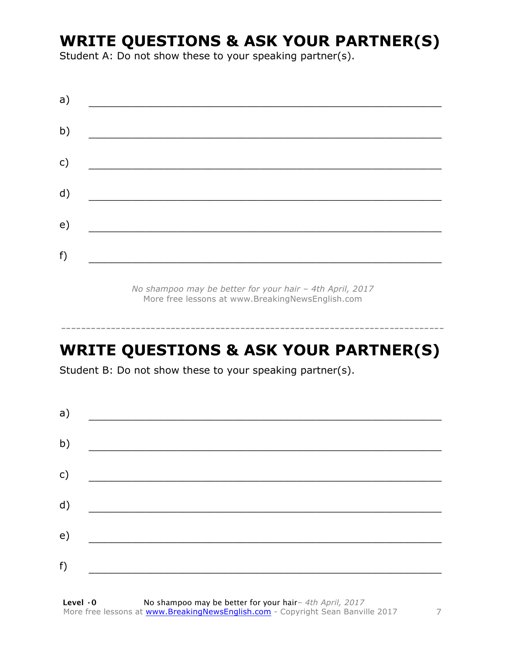# **WRITE QUESTIONS & ASK YOUR PARTNER(S)**

Student A: Do not show these to your speaking partner(s).

| a) |  |  |
|----|--|--|
| b) |  |  |
| c) |  |  |
| d) |  |  |
| e) |  |  |
| f) |  |  |
|    |  |  |

*No shampoo may be better for your hair – 4th April, 2017* More free lessons at www.BreakingNewsEnglish.com

# **WRITE QUESTIONS & ASK YOUR PARTNER(S)**

-----------------------------------------------------------------------------

Student B: Do not show these to your speaking partner(s).

| a) |  |  |
|----|--|--|
| b) |  |  |
| c) |  |  |
| d) |  |  |
| e) |  |  |
|    |  |  |
| f) |  |  |